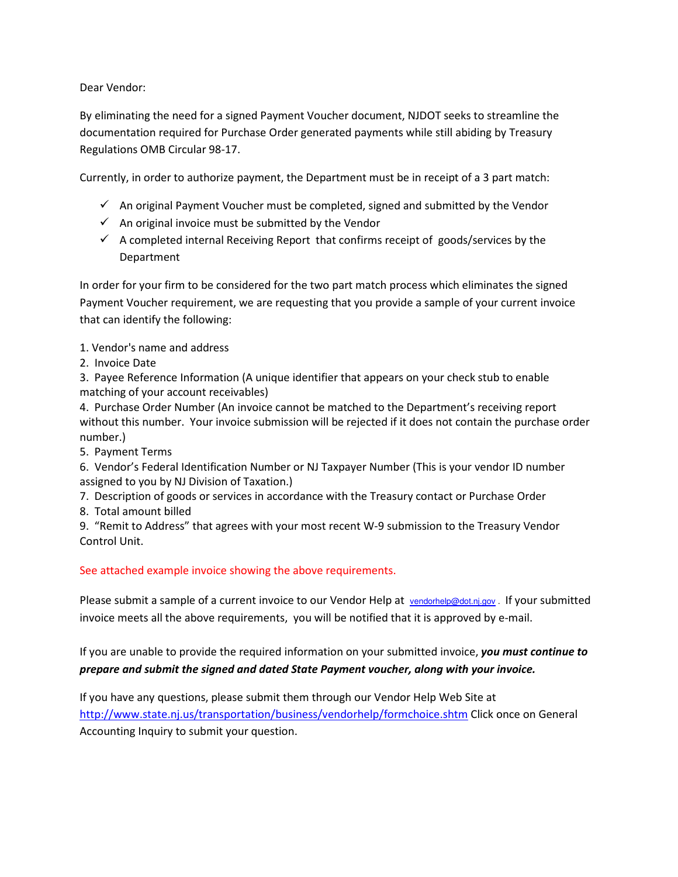Dear Vendor:

By eliminating the need for a signed Payment Voucher document, NJDOT seeks to streamline the documentation required for Purchase Order generated payments while still abiding by Treasury Regulations OMB Circular 98-17.

Currently, in order to authorize payment, the Department must be in receipt of a 3 part match:

- $\checkmark$  An original Payment Voucher must be completed, signed and submitted by the Vendor
- $\checkmark$  An original invoice must be submitted by the Vendor
- $\checkmark$  A completed internal Receiving Report that confirms receipt of goods/services by the Department

In order for your firm to be considered for the two part match process which eliminates the signed Payment Voucher requirement, we are requesting that you provide a sample of your current invoice that can identify the following:

- 1. Vendor's name and address
- 2. Invoice Date

3. Payee Reference Information (A unique identifier that appears on your check stub to enable matching of your account receivables)

4. Purchase Order Number (An invoice cannot be matched to the Department's receiving report without this number. Your invoice submission will be rejected if it does not contain the purchase order number.)

5. Payment Terms

6. Vendor's Federal Identification Number or NJ Taxpayer Number (This is your vendor ID number assigned to you by NJ Division of Taxation.)

- 7. Description of goods or services in accordance with the Treasury contact or Purchase Order
- 8. Total amount billed

9. "Remit to Address" that agrees with your most recent W-9 submission to the Treasury Vendor Control Unit.

## See attached example invoice showing the above requirements.

Please submit a sample of a current invoice to our Vendor Help at vendorhelp@dot.nj.gov. If your submitted invoice meets all the above requirements, you will be notified that it is approved by e-mail.

If you are unable to provide the required information on your submitted invoice, you must continue to prepare and submit the signed and dated State Payment voucher, along with your invoice.

If you have any questions, please submit them through our Vendor Help Web Site at http://www.state.nj.us/transportation/business/vendorhelp/formchoice.shtm Click once on General Accounting Inquiry to submit your question.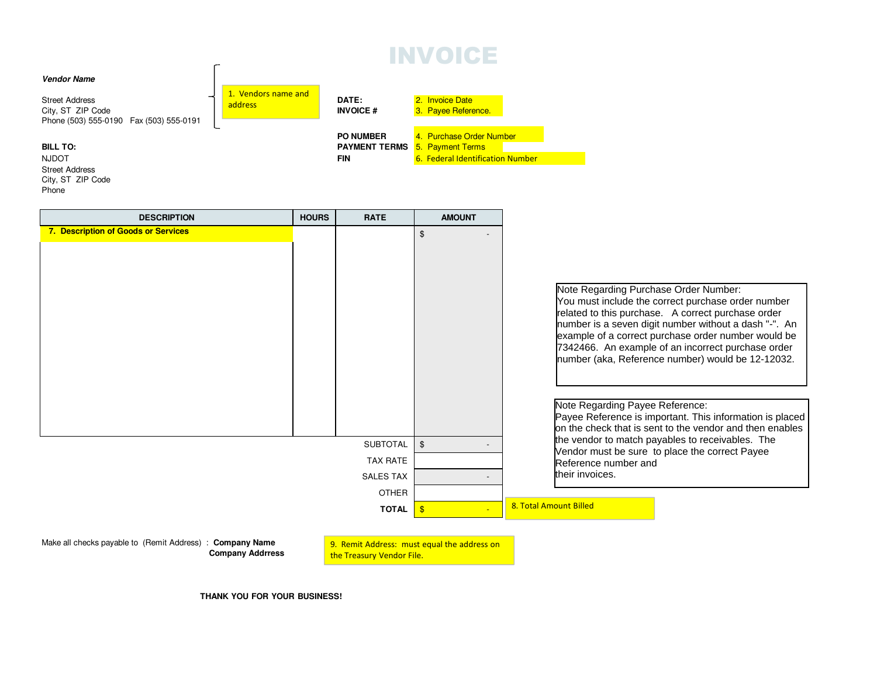## INVOICE



| <b>DESCRIPTION</b>                  | <b>HOURS</b> | <b>RATE</b>      | <b>AMOUNT</b>                             |                                                                                                                                                                                                                                                                                                                                                                                                                 |
|-------------------------------------|--------------|------------------|-------------------------------------------|-----------------------------------------------------------------------------------------------------------------------------------------------------------------------------------------------------------------------------------------------------------------------------------------------------------------------------------------------------------------------------------------------------------------|
| 7. Description of Goods or Services |              |                  | $\mathfrak{L}$                            | Note Regarding Purchase Order Number:<br>You must include the correct purchase order number<br>related to this purchase. A correct purchase order<br>number is a seven digit number without a dash "-". An<br>example of a correct purchase order number would be<br>7342466. An example of an incorrect purchase order<br>number (aka, Reference number) would be 12-12032.<br>Note Regarding Payee Reference: |
|                                     |              |                  |                                           | Payee Reference is important. This information is placed<br>on the check that is sent to the vendor and then enables                                                                                                                                                                                                                                                                                            |
|                                     |              | <b>SUBTOTAL</b>  | $\mathfrak{S}$                            | the vendor to match payables to receivables. The<br>Vendor must be sure to place the correct Payee                                                                                                                                                                                                                                                                                                              |
|                                     |              | <b>TAX RATE</b>  |                                           | Reference number and                                                                                                                                                                                                                                                                                                                                                                                            |
|                                     |              | <b>SALES TAX</b> |                                           | their invoices.                                                                                                                                                                                                                                                                                                                                                                                                 |
|                                     |              | <b>OTHER</b>     |                                           |                                                                                                                                                                                                                                                                                                                                                                                                                 |
|                                     |              | <b>TOTAL</b>     | $\sqrt[3]{3}$<br>$\overline{\phantom{0}}$ | 8. Total Amount Billed                                                                                                                                                                                                                                                                                                                                                                                          |
|                                     |              |                  |                                           |                                                                                                                                                                                                                                                                                                                                                                                                                 |

Make all checks payable to (Remit Address) : **Company Name Company Addrress**

Phone

9. Remit Address: must equal the address on the Treasury Vendor File.

**THANK YOU FOR YOUR BUSINESS!**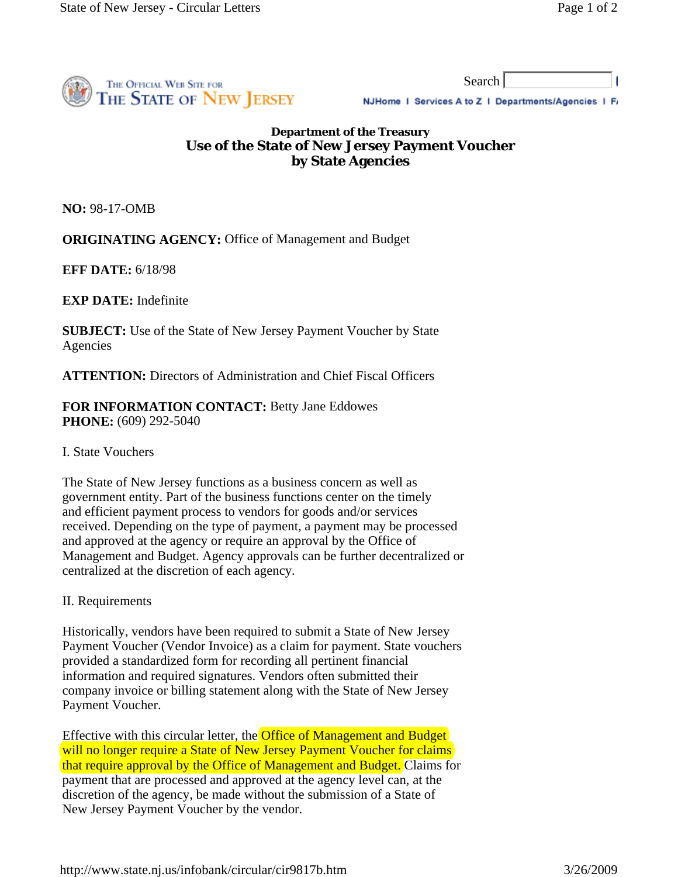I



Search

NJHome | Services A to Z | Departments/Agencies | F/

## **Department of the Treasury Use of the State of New Jersey Payment Voucher by State Agencies**

**NO:** 98-17-OMB

**ORIGINATING AGENCY:** Office of Management and Budget

**EFF DATE:** 6/18/98

**EXP DATE:** Indefinite

**SUBJECT:** Use of the State of New Jersey Payment Voucher by State Agencies

**ATTENTION:** Directors of Administration and Chief Fiscal Officers

**FOR INFORMATION CONTACT:** Betty Jane Eddowes **PHONE:** (609) 292-5040

## I. State Vouchers

The State of New Jersey functions as a business concern as well as government entity. Part of the business functions center on the timely and efficient payment process to vendors for goods and/or services received. Depending on the type of payment, a payment may be processed and approved at the agency or require an approval by the Office of Management and Budget. Agency approvals can be further decentralized or centralized at the discretion of each agency.

II. Requirements

Historically, vendors have been required to submit a State of New Jersey Payment Voucher (Vendor Invoice) as a claim for payment. State vouchers provided a standardized form for recording all pertinent financial information and required signatures. Vendors often submitted their company invoice or billing statement along with the State of New Jersey Payment Voucher.

Effective with this circular letter, the Office of Management and Budget will no longer require a State of New Jersey Payment Voucher for claims that require approval by the Office of Management and Budget. Claims for payment that are processed and approved at the agency level can, at the discretion of the agency, be made without the submission of a State of New Jersey Payment Voucher by the vendor.